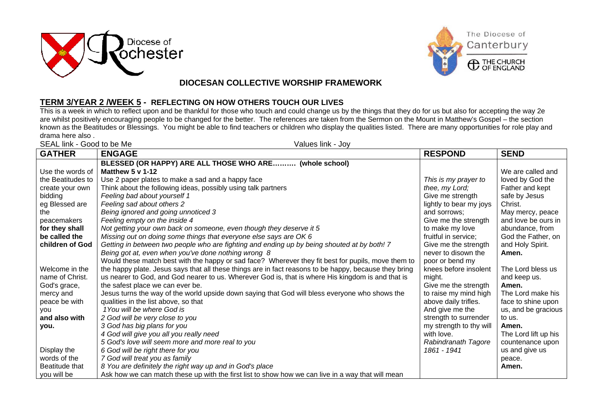



## **DIOCESAN COLLECTIVE WORSHIP FRAMEWORK**

## **TERM 3/YEAR 2 /WEEK 5 - REFLECTING ON HOW OTHERS TOUCH OUR LIVES**

This is a week in which to reflect upon and be thankful for those who touch and could change us by the things that they do for us but also for accepting the way 2e are whilst positively encouraging people to be changed for the better. The references are taken from the Sermon on the Mount in Matthew's Gospel – the section known as the Beatitudes or Blessings. You might be able to find teachers or children who display the qualities listed. There are many opportunities for role play and drama here also .

| SEAL link - Good to be Me<br>Values link - Joy |                                                                                                       |                         |                      |  |
|------------------------------------------------|-------------------------------------------------------------------------------------------------------|-------------------------|----------------------|--|
| <b>GATHER</b>                                  | <b>ENGAGE</b>                                                                                         | <b>RESPOND</b>          | <b>SEND</b>          |  |
|                                                | BLESSED (OR HAPPY) ARE ALL THOSE WHO ARE (whole school)                                               |                         |                      |  |
| Use the words of                               | Matthew $5 \vee 1-12$                                                                                 |                         | We are called and    |  |
| the Beatitudes to                              | Use 2 paper plates to make a sad and a happy face                                                     | This is my prayer to    | loved by God the     |  |
| create your own                                | Think about the following ideas, possibly using talk partners                                         | thee, my Lord;          | Father and kept      |  |
| bidding                                        | Feeling bad about yourself 1                                                                          | Give me strength        | safe by Jesus        |  |
| eg Blessed are                                 | Feeling sad about others 2                                                                            | lightly to bear my joys | Christ.              |  |
| the                                            | Being ignored and going unnoticed 3                                                                   | and sorrows:            | May mercy, peace     |  |
| peacemakers                                    | Feeling empty on the inside 4                                                                         | Give me the strength    | and love be ours in  |  |
| for they shall                                 | Not getting your own back on someone, even though they deserve it 5                                   | to make my love         | abundance, from      |  |
| be called the                                  | Missing out on doing some things that everyone else says are OK 6                                     | fruitful in service;    | God the Father, on   |  |
| children of God                                | Getting in between two people who are fighting and ending up by being shouted at by both! 7           | Give me the strength    | and Holy Spirit.     |  |
|                                                | Being got at, even when you've done nothing wrong 8                                                   | never to disown the     | Amen.                |  |
|                                                | Would these match best with the happy or sad face? Wherever they fit best for pupils, move them to    | poor or bend my         |                      |  |
| Welcome in the                                 | the happy plate. Jesus says that all these things are in fact reasons to be happy, because they bring | knees before insolent   | The Lord bless us    |  |
| name of Christ.                                | us nearer to God, and God nearer to us. Wherever God is, that is where His kingdom is and that is     | might.                  | and keep us.         |  |
| God's grace,                                   | the safest place we can ever be.                                                                      | Give me the strength    | Amen.                |  |
| mercy and                                      | Jesus turns the way of the world upside down saying that God will bless everyone who shows the        | to raise my mind high   | The Lord make his    |  |
| peace be with                                  | qualities in the list above, so that                                                                  | above daily trifles.    | face to shine upon   |  |
| you                                            | 1You will be where God is                                                                             | And give me the         | us, and be gracious  |  |
| and also with                                  | 2 God will be very close to you                                                                       | strength to surrender   | to us.               |  |
| you.                                           | 3 God has big plans for you                                                                           | my strength to thy will | Amen.                |  |
|                                                | 4 God will give you all you really need                                                               | with love.              | The Lord lift up his |  |
|                                                | 5 God's love will seem more and more real to you                                                      | Rabindranath Tagore     | countenance upon     |  |
| Display the                                    | 6 God will be right there for you                                                                     | 1861 - 1941             | us and give us       |  |
| words of the                                   | 7 God will treat you as family                                                                        |                         | peace.               |  |
| Beatitude that                                 | 8 You are definitely the right way up and in God's place                                              |                         | Amen.                |  |
| you will be                                    | Ask how we can match these up with the first list to show how we can live in a way that will mean     |                         |                      |  |